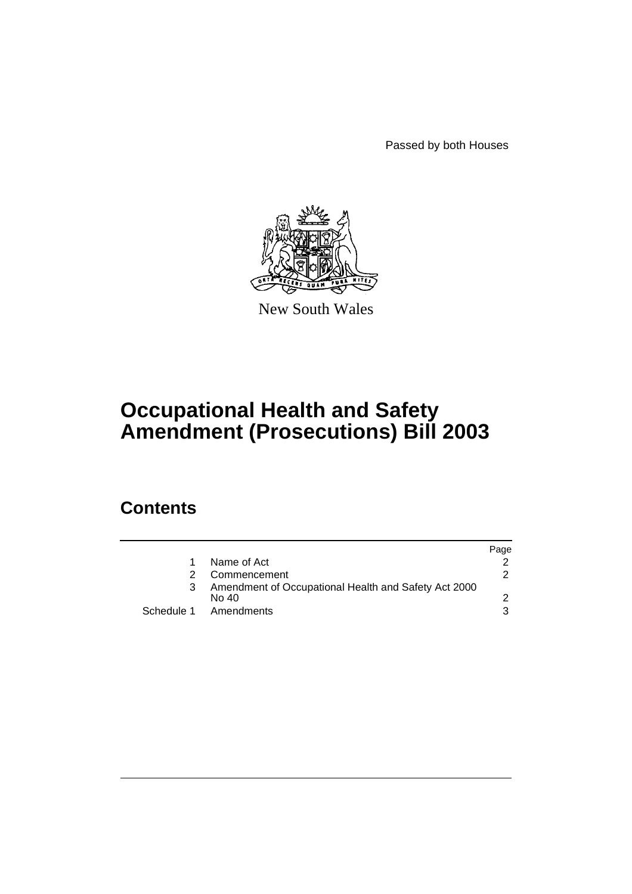Passed by both Houses



New South Wales

# **Occupational Health and Safety Amendment (Prosecutions) Bill 2003**

## **Contents**

|                                                               | Page |
|---------------------------------------------------------------|------|
| Name of Act                                                   |      |
| Commencement                                                  | 2    |
| Amendment of Occupational Health and Safety Act 2000<br>No 40 |      |
| Schedule 1 Amendments                                         |      |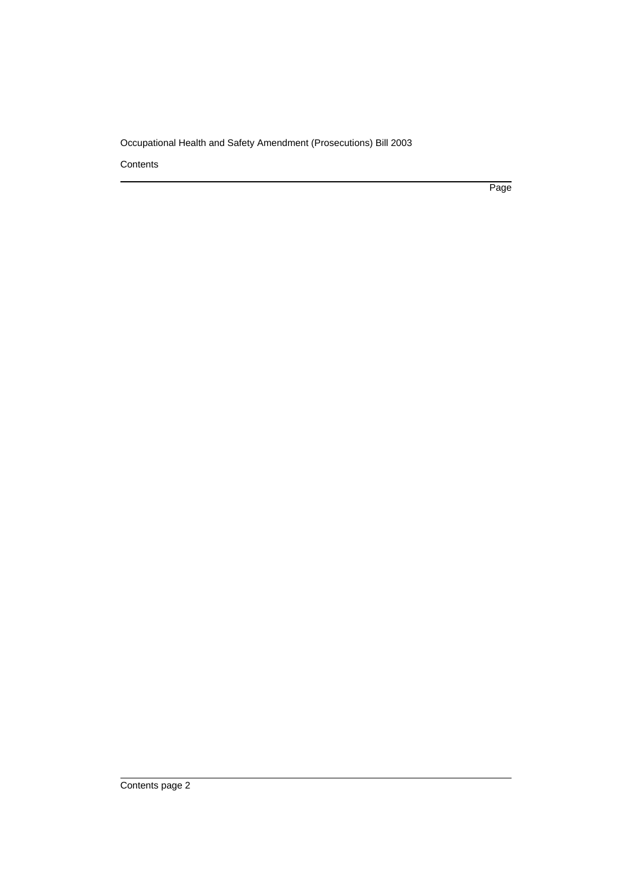**Contents** 

Page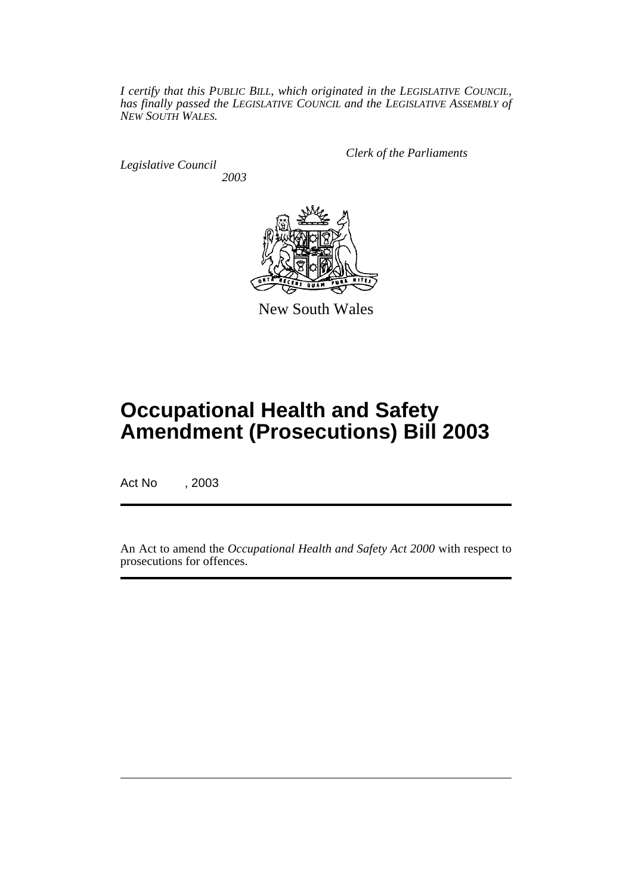*I certify that this PUBLIC BILL, which originated in the LEGISLATIVE COUNCIL, has finally passed the LEGISLATIVE COUNCIL and the LEGISLATIVE ASSEMBLY of NEW SOUTH WALES.*

*Legislative Council 2003* *Clerk of the Parliaments*



New South Wales

# **Occupational Health and Safety Amendment (Prosecutions) Bill 2003**

Act No , 2003

An Act to amend the *Occupational Health and Safety Act 2000* with respect to prosecutions for offences.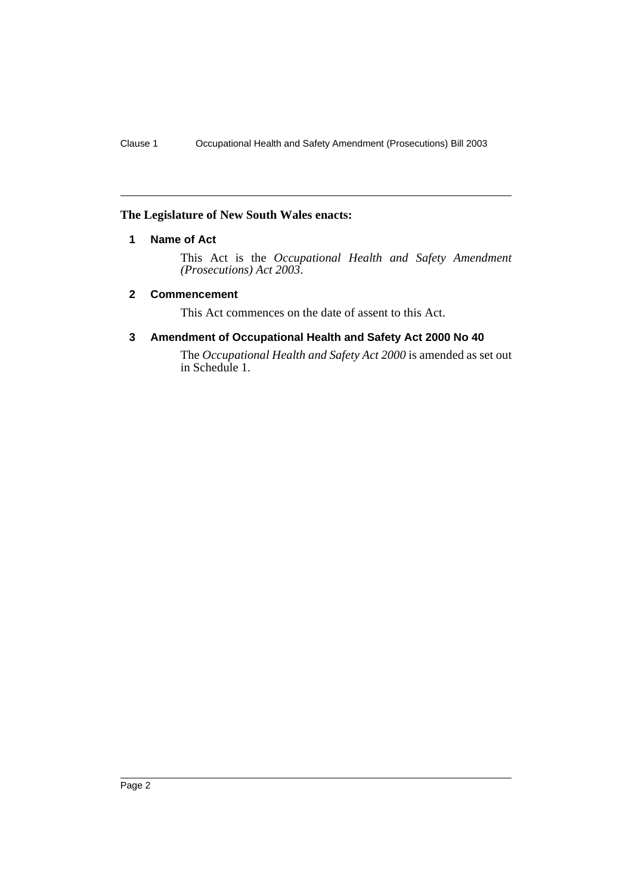#### **The Legislature of New South Wales enacts:**

## **1 Name of Act**

This Act is the *Occupational Health and Safety Amendment (Prosecutions) Act 2003*.

#### **2 Commencement**

This Act commences on the date of assent to this Act.

#### **3 Amendment of Occupational Health and Safety Act 2000 No 40**

The *Occupational Health and Safety Act 2000* is amended as set out in Schedule 1.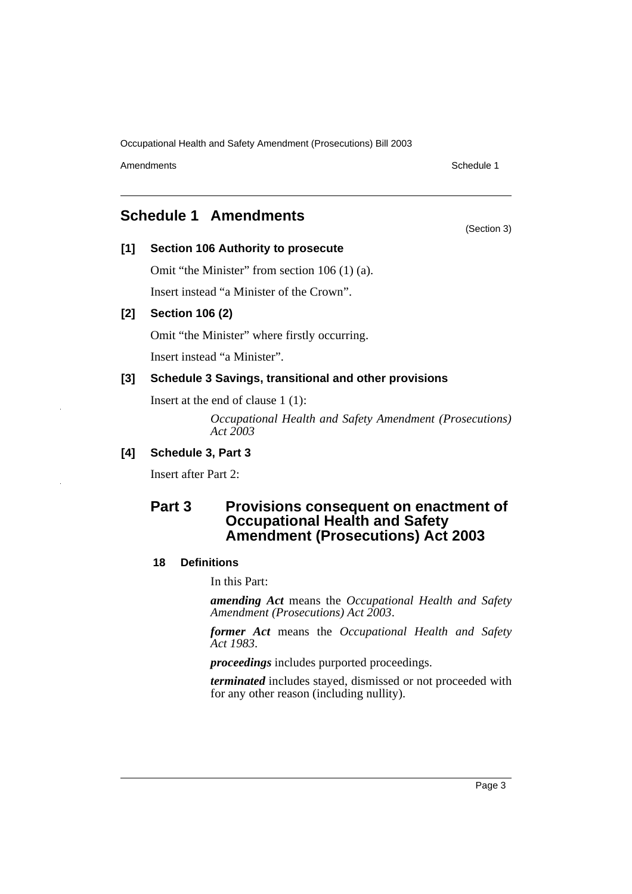Amendments **Schedule 1** and the set of the set of the set of the set of the set of the set of the set of the set of the set of the set of the set of the set of the set of the set of the set of the set of the set of the set

(Section 3)

## **Schedule 1 Amendments**

#### **[1] Section 106 Authority to prosecute**

Omit "the Minister" from section 106 (1) (a).

Insert instead "a Minister of the Crown".

## **[2] Section 106 (2)**

Omit "the Minister" where firstly occurring.

Insert instead "a Minister".

## **[3] Schedule 3 Savings, transitional and other provisions**

Insert at the end of clause 1 (1):

*Occupational Health and Safety Amendment (Prosecutions) Act 2003*

## **[4] Schedule 3, Part 3**

Insert after Part 2:

## **Part 3 Provisions consequent on enactment of Occupational Health and Safety Amendment (Prosecutions) Act 2003**

### **18 Definitions**

In this Part:

*amending Act* means the *Occupational Health and Safety Amendment (Prosecutions) Act 2003*.

*former Act* means the *Occupational Health and Safety Act 1983*.

*proceedings* includes purported proceedings.

*terminated* includes stayed, dismissed or not proceeded with for any other reason (including nullity).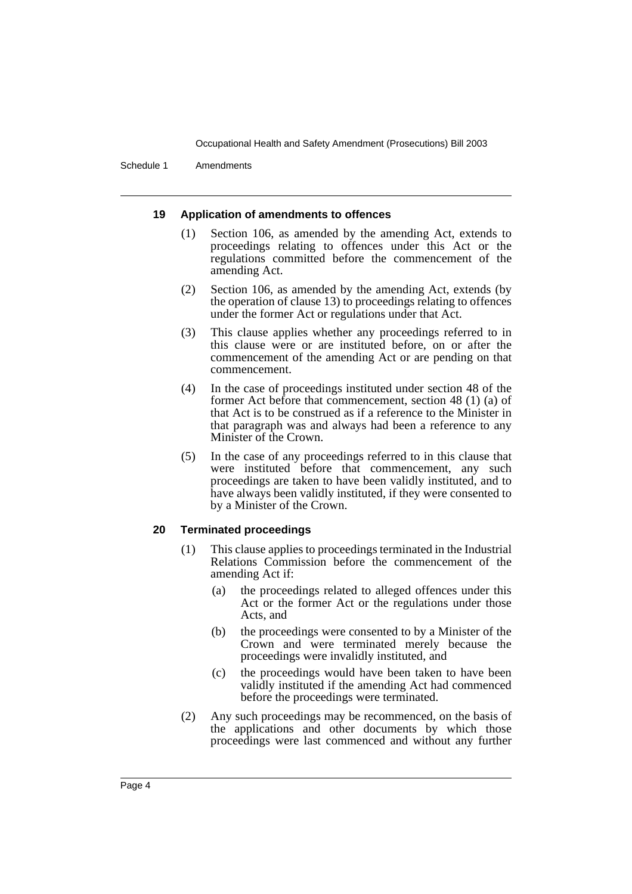Schedule 1 Amendments

#### **19 Application of amendments to offences**

- (1) Section 106, as amended by the amending Act, extends to proceedings relating to offences under this Act or the regulations committed before the commencement of the amending Act.
- (2) Section 106, as amended by the amending Act, extends (by the operation of clause 13) to proceedings relating to offences under the former Act or regulations under that Act.
- (3) This clause applies whether any proceedings referred to in this clause were or are instituted before, on or after the commencement of the amending Act or are pending on that commencement.
- (4) In the case of proceedings instituted under section 48 of the former Act before that commencement, section 48 (1) (a) of that Act is to be construed as if a reference to the Minister in that paragraph was and always had been a reference to any Minister of the Crown.
- (5) In the case of any proceedings referred to in this clause that were instituted before that commencement, any such proceedings are taken to have been validly instituted, and to have always been validly instituted, if they were consented to by a Minister of the Crown.

#### **20 Terminated proceedings**

- (1) This clause applies to proceedings terminated in the Industrial Relations Commission before the commencement of the amending Act if:
	- (a) the proceedings related to alleged offences under this Act or the former Act or the regulations under those Acts, and
	- (b) the proceedings were consented to by a Minister of the Crown and were terminated merely because the proceedings were invalidly instituted, and
	- (c) the proceedings would have been taken to have been validly instituted if the amending Act had commenced before the proceedings were terminated.
- (2) Any such proceedings may be recommenced, on the basis of the applications and other documents by which those proceedings were last commenced and without any further